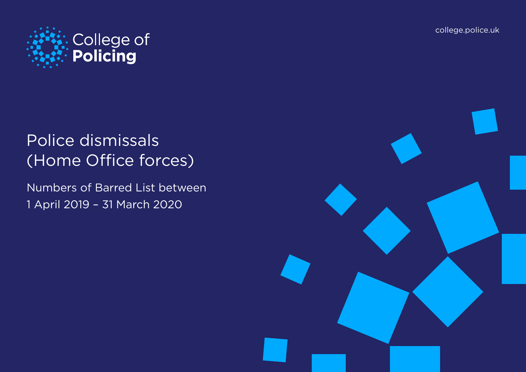[college.police.uk](https://www.college.police.uk/Pages/Home.aspx)



# Police dismissals (Home Office forces)

Numbers of Barred List between 1 April 2019 – 31 March 2020

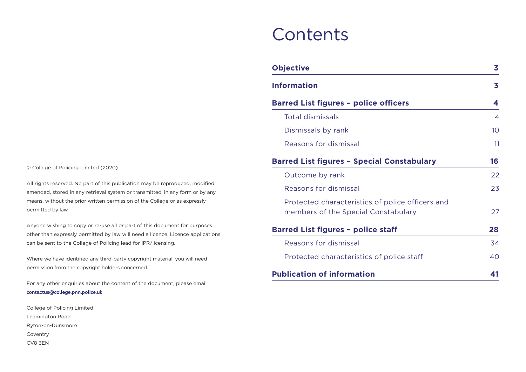## **Contents**

| <b>Objective</b>                                                                        | 3               |
|-----------------------------------------------------------------------------------------|-----------------|
| <b>Information</b>                                                                      | 3               |
| <b>Barred List figures - police officers</b>                                            | 4               |
| Total dismissals                                                                        | $\overline{4}$  |
| Dismissals by rank                                                                      | 10 <sup>1</sup> |
| Reasons for dismissal                                                                   | 11              |
| <b>Barred List figures - Special Constabulary</b>                                       | 16              |
| Outcome by rank                                                                         | 22              |
| Reasons for dismissal                                                                   | 23              |
| Protected characteristics of police officers and<br>members of the Special Constabulary | 27              |
| <b>Barred List figures - police staff</b>                                               | 28              |
| Reasons for dismissal                                                                   | 34              |
| Protected characteristics of police staff                                               | 40              |
| <b>Publication of information</b>                                                       | 41              |

© College of Policing Limited (2020)

All rights reserved. No part of this publication may be reproduced, modified, amended, stored in any retrieval system or transmitted, in any form or by any means, without the prior written permission of the College or as expressly permitted by law.

Anyone wishing to copy or re-use all or part of this document for purposes other than expressly permitted by law will need a licence. Licence applications can be sent to the College of Policing lead for IPR/licensing.

Where we have identified any third-party copyright material, you will need permission from the copyright holders concerned.

For any other enquiries about the content of the document, please email **contactus@college.pnn.police.uk**

College of Policing Limited Leamington Road Ryton-on-Dunsmore Coventry CV8 3EN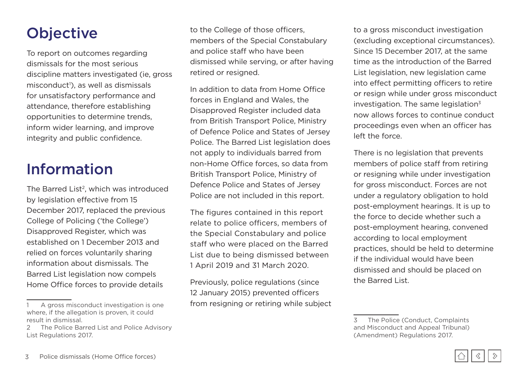## <span id="page-2-0"></span>**Objective**

To report on outcomes regarding dismissals for the most serious discipline matters investigated (ie, gross misconduct<sup>1</sup>), as well as dismissals for unsatisfactory performance and attendance, therefore establishing opportunities to determine trends, inform wider learning, and improve integrity and public confidence.

## Information

The Barred List<sup>2</sup>, which was introduced by legislation effective from 15 December 2017, replaced the previous College of Policing ('the College') Disapproved Register, which was established on 1 December 2013 and relied on forces voluntarily sharing information about dismissals. The Barred List legislation now compels Home Office forces to provide details

to the College of those officers, members of the Special Constabulary and police staff who have been dismissed while serving, or after having retired or resigned.

In addition to data from Home Office forces in England and Wales, the Disapproved Register included data from British Transport Police, Ministry of Defence Police and States of Jersey Police. The Barred List legislation does not apply to individuals barred from non-Home Office forces, so data from British Transport Police, Ministry of Defence Police and States of Jersey Police are not included in this report.

The figures contained in this report relate to police officers, members of the Special Constabulary and police staff who were placed on the Barred List due to being dismissed between 1 April 2019 and 31 March 2020.

Previously, police regulations (since 12 January 2015) prevented officers from resigning or retiring while subject to a gross misconduct investigation (excluding exceptional circumstances). Since 15 December 2017, at the same time as the introduction of the Barred List legislation, new legislation came into effect permitting officers to retire or resign while under gross misconduct investigation. The same legislation $3$ now allows forces to continue conduct proceedings even when an officer has left the force.

There is no legislation that prevents members of police staff from retiring or resigning while under investigation for gross misconduct. Forces are not under a regulatory obligation to hold post-employment hearings. It is up to the force to decide whether such a post-employment hearing, convened according to local employment practices, should be held to determine if the individual would have been dismissed and should be placed on the Barred List.



A gross misconduct investigation is one where, if the allegation is proven, it could result in dismissal.

<sup>2</sup> The Police Barred List and Police Advisory List Regulations 2017.

<sup>3</sup> The Police (Conduct, Complaints and Misconduct and Appeal Tribunal) (Amendment) Regulations 2017.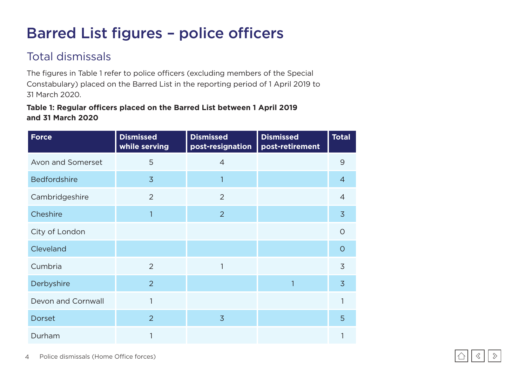## <span id="page-3-0"></span>Barred List figures – police officers

## Total dismissals

The figures in Table 1 refer to police officers (excluding members of the Special Constabulary) placed on the Barred List in the reporting period of 1 April 2019 to 31 March 2020.

#### **Table 1: Regular officers placed on the Barred List between 1 April 2019 and 31 March 2020**

| <b>Force</b>        | <b>Dismissed</b><br>while serving | <b>Dismissed</b><br>post-resignation | <b>Dismissed</b><br>post-retirement | <b>Total</b>   |
|---------------------|-----------------------------------|--------------------------------------|-------------------------------------|----------------|
| Avon and Somerset   | 5                                 | $\overline{4}$                       |                                     | 9              |
| <b>Bedfordshire</b> | $\overline{3}$                    | 1                                    |                                     | $\overline{4}$ |
| Cambridgeshire      | $\overline{2}$                    | 2                                    |                                     | $\overline{4}$ |
| Cheshire            | 1                                 | 2                                    |                                     | $\overline{3}$ |
| City of London      |                                   |                                      |                                     | $\circ$        |
| Cleveland           |                                   |                                      |                                     | $\circ$        |
| Cumbria             | $\overline{2}$                    | 1                                    |                                     | $\overline{3}$ |
| Derbyshire          | $\overline{2}$                    |                                      |                                     | $\overline{3}$ |
| Devon and Cornwall  | $\mathbf{1}$                      |                                      |                                     | 1              |
| <b>Dorset</b>       | $\overline{2}$                    | $\overline{3}$                       |                                     | 5              |
| Durham              | 1                                 |                                      |                                     |                |

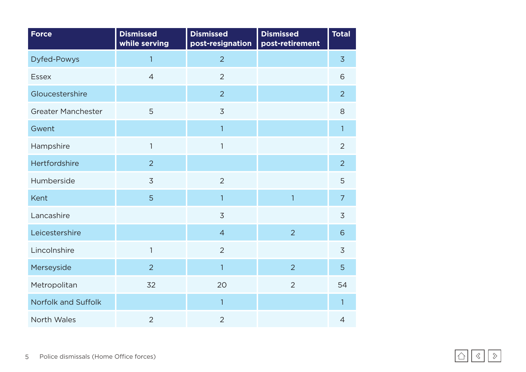<span id="page-4-0"></span>

| <b>Force</b>              | <b>Dismissed</b><br>while serving | <b>Dismissed</b><br>post-resignation | <b>Dismissed</b><br>post-retirement | <b>Total</b>   |
|---------------------------|-----------------------------------|--------------------------------------|-------------------------------------|----------------|
| <b>Dyfed-Powys</b>        | $\overline{1}$                    | $\overline{2}$                       |                                     | $\overline{3}$ |
| <b>Essex</b>              | $\overline{4}$                    | $\overline{2}$                       |                                     | 6              |
| Gloucestershire           |                                   | $\overline{2}$                       |                                     | $\overline{2}$ |
| <b>Greater Manchester</b> | 5                                 | $\overline{3}$                       |                                     | 8              |
| Gwent                     |                                   | $\mathbf{1}$                         |                                     | $\mathbf{1}$   |
| Hampshire                 | $\mathbf{1}$                      | $\mathbf{1}$                         |                                     | $\overline{2}$ |
| Hertfordshire             | $\overline{2}$                    |                                      |                                     | $\overline{2}$ |
| Humberside                | $\overline{3}$                    | $\overline{2}$                       |                                     | 5              |
| Kent                      | 5                                 | $\overline{1}$                       | $\overline{1}$                      | $\overline{7}$ |
| Lancashire                |                                   | $\overline{3}$                       |                                     | $\overline{3}$ |
| Leicestershire            |                                   | $\overline{4}$                       | $\overline{2}$                      | 6              |
| Lincolnshire              | $\mathbf{1}$                      | $\overline{2}$                       |                                     | $\overline{3}$ |
| Merseyside                | $\overline{2}$                    | $\overline{1}$                       | $\overline{2}$                      | 5              |
| Metropolitan              | 32                                | 20                                   | $\overline{2}$                      | 54             |
| Norfolk and Suffolk       |                                   | $\overline{1}$                       |                                     | $\mathbf{1}$   |
| North Wales               | $\overline{2}$                    | $\overline{2}$                       |                                     | $\overline{4}$ |

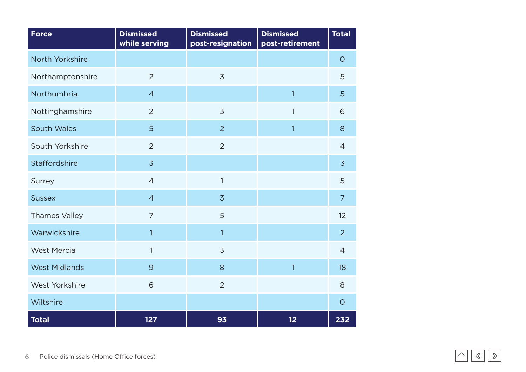| <b>Force</b>         | <b>Dismissed</b><br>while serving | <b>Dismissed</b><br>post-resignation | <b>Dismissed</b><br>post-retirement | <b>Total</b>   |
|----------------------|-----------------------------------|--------------------------------------|-------------------------------------|----------------|
| North Yorkshire      |                                   |                                      |                                     | $\circ$        |
| Northamptonshire     | $\overline{2}$                    | $\overline{3}$                       |                                     | 5              |
| Northumbria          | $\overline{4}$                    |                                      | $\overline{1}$                      | 5              |
| Nottinghamshire      | $\overline{2}$                    | $\overline{3}$                       | $\mathbf{1}$                        | 6              |
| <b>South Wales</b>   | 5                                 | $\overline{2}$                       | $\mathbf{1}$                        | 8              |
| South Yorkshire      | $\overline{2}$                    | $\overline{2}$                       |                                     | $\overline{4}$ |
| <b>Staffordshire</b> | $\overline{3}$                    |                                      |                                     | $\overline{3}$ |
| Surrey               | $\overline{4}$                    | $\mathbf{1}$                         |                                     | 5              |
| <b>Sussex</b>        | $\overline{4}$                    | $\overline{3}$                       |                                     | $\overline{7}$ |
| <b>Thames Valley</b> | $\overline{7}$                    | 5                                    |                                     | 12             |
| Warwickshire         | 1                                 | $\mathbf{1}$                         |                                     | $\overline{2}$ |
| <b>West Mercia</b>   | 1                                 | $\overline{3}$                       |                                     | $\overline{4}$ |
| <b>West Midlands</b> | 9                                 | 8                                    | $\overline{1}$                      | 18             |
| West Yorkshire       | 6                                 | $\overline{2}$                       |                                     | 8              |
| Wiltshire            |                                   |                                      |                                     | $\circ$        |
| <b>Total</b>         | 127                               | 93                                   | 12                                  | 232            |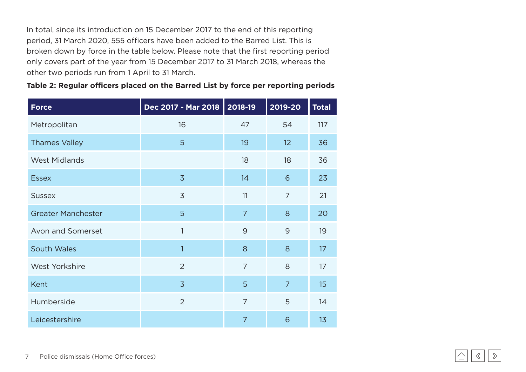In total, since its introduction on 15 December 2017 to the end of this reporting period, 31 March 2020, 555 officers have been added to the Barred List. This is broken down by force in the table below. Please note that the first reporting period only covers part of the year from 15 December 2017 to 31 March 2018, whereas the other two periods run from 1 April to 31 March.

|  | Table 2: Regular officers placed on the Barred List by force per reporting periods |  |  |
|--|------------------------------------------------------------------------------------|--|--|
|--|------------------------------------------------------------------------------------|--|--|

| <b>Force</b>              | Dec 2017 - Mar 2018 | 2018-19        | 2019-20        | <b>Total</b> |
|---------------------------|---------------------|----------------|----------------|--------------|
| Metropolitan              | 16                  | 47             | 54             | 117          |
| <b>Thames Valley</b>      | 5                   | 19             | 12             | 36           |
| <b>West Midlands</b>      |                     | 18             | 18             | 36           |
| <b>Essex</b>              | $\overline{3}$      | 14             | 6              | 23           |
| <b>Sussex</b>             | $\overline{3}$      | 11             | 7              | 21           |
| <b>Greater Manchester</b> | 5                   | $\overline{7}$ | 8              | 20           |
| <b>Avon and Somerset</b>  | 1                   | 9              | 9              | 19           |
| <b>South Wales</b>        | 1                   | 8              | 8              | 17           |
| <b>West Yorkshire</b>     | $\overline{2}$      | $\overline{7}$ | 8              | 17           |
| <b>Kent</b>               | $\overline{3}$      | 5              | $\overline{7}$ | 15           |
| Humberside                | $\overline{2}$      | $\overline{7}$ | 5              | 14           |
| Leicestershire            |                     | $\overline{7}$ | 6              | 13           |

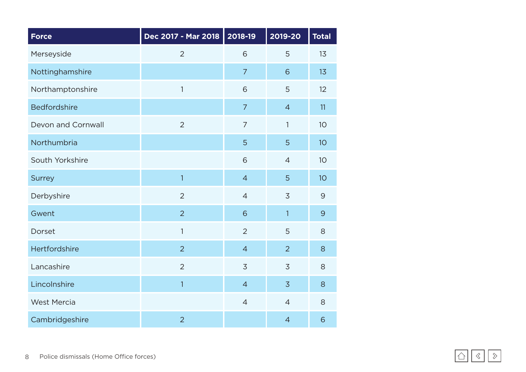| <b>Force</b>        | Dec 2017 - Mar 2018 | 2018-19        | 2019-20        | <b>Total</b>   |
|---------------------|---------------------|----------------|----------------|----------------|
| Merseyside          | $\overline{2}$      | 6              | 5              | 13             |
| Nottinghamshire     |                     | $\overline{7}$ | 6              | 13             |
| Northamptonshire    | $\mathbf{1}$        | 6              | 5              | 12             |
| <b>Bedfordshire</b> |                     | $\overline{7}$ | $\overline{4}$ | 11             |
| Devon and Cornwall  | $\overline{2}$      | $\overline{7}$ | 1              | 10             |
| Northumbria         |                     | 5              | 5              | 10             |
| South Yorkshire     |                     | 6              | $\overline{4}$ | 10             |
| <b>Surrey</b>       | 1                   | $\overline{4}$ | 5              | 10             |
| Derbyshire          | $\overline{2}$      | $\overline{4}$ | $\overline{3}$ | $\mathcal{G}$  |
| Gwent               | $\overline{2}$      | 6              | $\mathbf{1}$   | $\overline{9}$ |
| Dorset              | $\mathbf{1}$        | $\overline{2}$ | 5              | 8              |
| Hertfordshire       | $\overline{2}$      | $\overline{4}$ | $\overline{2}$ | 8              |
| Lancashire          | $\overline{2}$      | $\overline{3}$ | $\overline{3}$ | 8              |
| Lincolnshire        | 1                   | $\overline{4}$ | $\overline{3}$ | 8              |
| <b>West Mercia</b>  |                     | $\overline{4}$ | $\overline{4}$ | 8              |
| Cambridgeshire      | $\overline{2}$      |                | $\overline{4}$ | 6              |

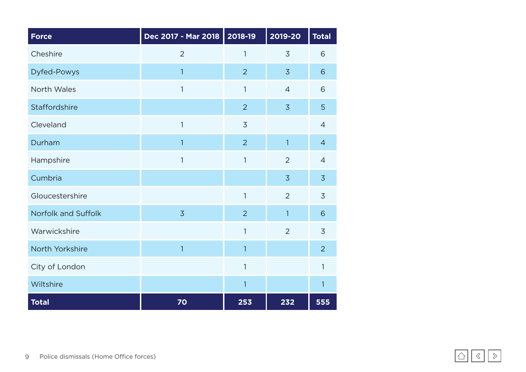| <b>Force</b>               | Dec 2017 - Mar 2018 | 2018-19        | 2019-20        | <b>Total</b>   |
|----------------------------|---------------------|----------------|----------------|----------------|
| Cheshire                   | $\overline{2}$      | 1              | $\overline{3}$ | 6              |
| <b>Dyfed-Powys</b>         | $\overline{1}$      | $\overline{2}$ | $\overline{3}$ | 6              |
| North Wales                | 1                   | $\mathbf{1}$   | $\overline{4}$ | 6              |
| Staffordshire              |                     | $\overline{2}$ | $\overline{3}$ | 5              |
| Cleveland                  | 1                   | $\overline{3}$ |                | $\overline{4}$ |
| Durham                     | $\overline{1}$      | $\overline{2}$ | $\mathbf{1}$   | $\overline{4}$ |
| Hampshire                  | 1                   | 1              | $\overline{2}$ | $\overline{4}$ |
| Cumbria                    |                     |                | $\overline{3}$ | $\overline{3}$ |
| Gloucestershire            |                     | $\mathbf{1}$   | $\overline{2}$ | $\overline{3}$ |
| <b>Norfolk and Suffolk</b> | $\overline{3}$      | $\overline{2}$ | 1              | 6              |
| Warwickshire               |                     | $\mathbf{1}$   | $\overline{2}$ | $\overline{3}$ |
| North Yorkshire            | $\mathbf{1}$        | $\mathbf{1}$   |                | $\overline{2}$ |
| City of London             |                     | 1              |                | 1              |
| Wiltshire                  |                     | 1              |                | 1              |
| <b>Total</b>               | 70                  | 253            | 232            | 555            |

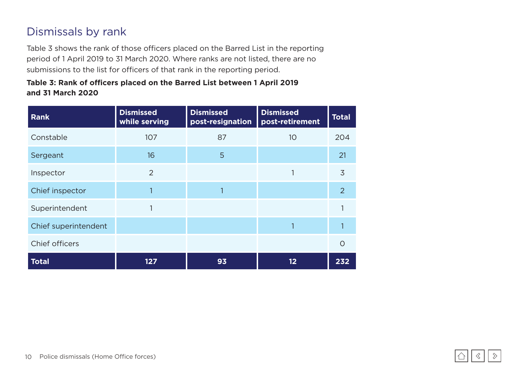### <span id="page-9-0"></span>Dismissals by rank

Table 3 shows the rank of those officers placed on the Barred List in the reporting period of 1 April 2019 to 31 March 2020. Where ranks are not listed, there are no submissions to the list for officers of that rank in the reporting period.

#### **Table 3: Rank of officers placed on the Barred List between 1 April 2019 and 31 March 2020**

| <b>Rank</b>          | <b>Dismissed</b><br>while serving | <b>Dismissed</b><br>post-resignation | <b>Dismissed</b><br>post-retirement | <b>Total</b>   |
|----------------------|-----------------------------------|--------------------------------------|-------------------------------------|----------------|
| Constable            | 107                               | 87                                   | 10 <sup>°</sup>                     | 204            |
| Sergeant             | 16                                | 5                                    |                                     | 21             |
| Inspector            | 2                                 |                                      |                                     | 3              |
| Chief inspector      |                                   |                                      |                                     | $\overline{2}$ |
| Superintendent       |                                   |                                      |                                     |                |
| Chief superintendent |                                   |                                      |                                     |                |
| Chief officers       |                                   |                                      |                                     | O              |
| <b>Total</b>         | 127                               | 93                                   | $12 \overline{ }$                   | 232            |

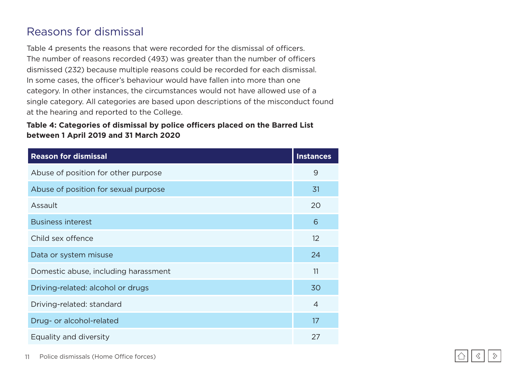### <span id="page-10-0"></span>Reasons for dismissal

Table 4 presents the reasons that were recorded for the dismissal of officers. The number of reasons recorded (493) was greater than the number of officers dismissed (232) because multiple reasons could be recorded for each dismissal. In some cases, the officer's behaviour would have fallen into more than one category. In other instances, the circumstances would not have allowed use of a single category. All categories are based upon descriptions of the misconduct found at the hearing and reported to the College.

#### **Table 4: Categories of dismissal by police officers placed on the Barred List between 1 April 2019 and 31 March 2020**

| <b>Reason for dismissal</b>          | <b>Instances</b> |
|--------------------------------------|------------------|
| Abuse of position for other purpose  | 9                |
| Abuse of position for sexual purpose | 31               |
| Assault                              | 20               |
| <b>Business interest</b>             | 6                |
| Child sex offence                    | 12               |
| Data or system misuse                | 24               |
| Domestic abuse, including harassment | 11               |
| Driving-related: alcohol or drugs    | 30               |
| Driving-related: standard            | 4                |
| Drug- or alcohol-related             | 17               |
| Equality and diversity               | 27               |

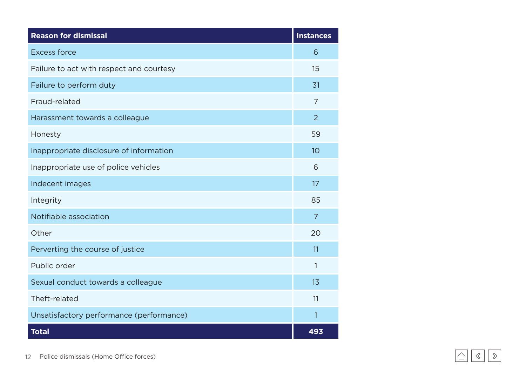| <b>Reason for dismissal</b>              | <b>Instances</b> |
|------------------------------------------|------------------|
| <b>Excess force</b>                      | 6                |
| Failure to act with respect and courtesy | 15               |
| Failure to perform duty                  | 31               |
| Fraud-related                            | $\overline{7}$   |
| Harassment towards a colleague           | $\overline{2}$   |
| Honesty                                  | 59               |
| Inappropriate disclosure of information  | 10 <sup>°</sup>  |
| Inappropriate use of police vehicles     | 6                |
| Indecent images                          | 17               |
| Integrity                                | 85               |
| Notifiable association                   | $\overline{7}$   |
| Other                                    | 20               |
| Perverting the course of justice         | 11               |
| Public order                             | 1                |
| Sexual conduct towards a colleague       | 1 <sub>3</sub>   |
| Theft-related                            | 11               |
| Unsatisfactory performance (performance) | 1                |
| <b>Total</b>                             | 493              |

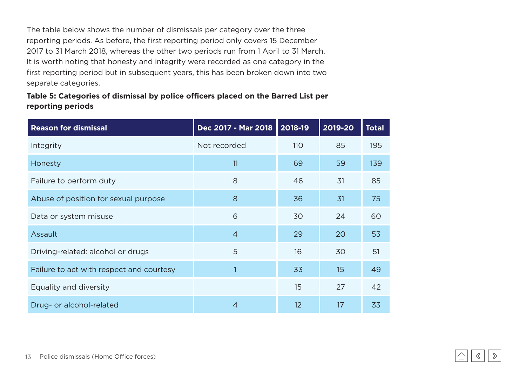The table below shows the number of dismissals per category over the three reporting periods. As before, the first reporting period only covers 15 December 2017 to 31 March 2018, whereas the other two periods run from 1 April to 31 March. It is worth noting that honesty and integrity were recorded as one category in the first reporting period but in subsequent years, this has been broken down into two separate categories.

#### **Table 5: Categories of dismissal by police officers placed on the Barred List per reporting periods**

| <b>Reason for dismissal</b>              | Dec 2017 - Mar 2018 | $  2018 - 19  $ | 2019-20 | <b>Total</b> |
|------------------------------------------|---------------------|-----------------|---------|--------------|
| Integrity                                | Not recorded        | <b>110</b>      | 85      | 195          |
| Honesty                                  | 11                  | 69              | 59      | 139          |
| Failure to perform duty                  | 8                   | 46              | 31      | 85           |
| Abuse of position for sexual purpose     | 8                   | 36              | 31      | 75           |
| Data or system misuse                    | 6                   | 30              | 24      | 60           |
| Assault                                  | $\overline{4}$      | 29              | 20      | 53           |
| Driving-related: alcohol or drugs        | 5                   | 16              | 30      | 51           |
| Failure to act with respect and courtesy |                     | 33              | 15      | 49           |
| Equality and diversity                   |                     | 15              | 27      | 42           |
| Drug- or alcohol-related                 | 4                   | 12              | 17      | 33           |



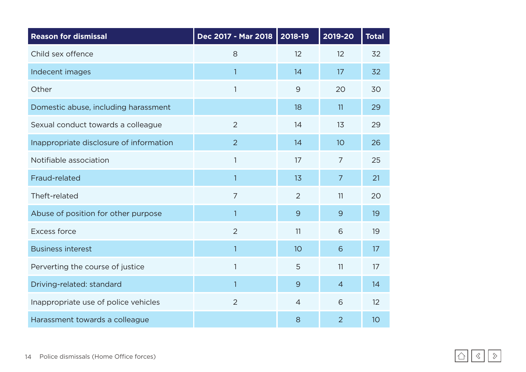| <b>Reason for dismissal</b>             | Dec 2017 - Mar 2018 2018-19 |                 | 2019-20        | <b>Total</b> |
|-----------------------------------------|-----------------------------|-----------------|----------------|--------------|
| Child sex offence                       | 8                           | 12              | 12             | 32           |
| Indecent images                         | $\mathbf{1}$                | 14              | 17             | 32           |
| Other                                   | $\mathbf{1}$                | $\overline{9}$  | 20             | 30           |
| Domestic abuse, including harassment    |                             | 18              | 11             | 29           |
| Sexual conduct towards a colleague      | $\overline{2}$              | 14              | 13             | 29           |
| Inappropriate disclosure of information | $\overline{2}$              | 14              | 10             | 26           |
| Notifiable association                  | $\mathbf{1}$                | 17              | $\overline{7}$ | 25           |
| Fraud-related                           | $\mathbf{1}$                | 13              | $\overline{7}$ | 21           |
| Theft-related                           | $\overline{7}$              | $\overline{2}$  | 11             | 20           |
| Abuse of position for other purpose     | $\mathbf{1}$                | 9               | 9              | 19           |
| <b>Excess force</b>                     | $\overline{2}$              | 11              | 6              | 19           |
| <b>Business interest</b>                | 1                           | 10 <sup>°</sup> | 6              | 17           |
| Perverting the course of justice        | 1                           | 5               | 11             | 17           |
| Driving-related: standard               | $\mathbf{1}$                | 9               | $\overline{4}$ | 14           |
| Inappropriate use of police vehicles    | $\overline{2}$              | $\overline{4}$  | 6              | 12           |
| Harassment towards a colleague          |                             | 8               | $\overline{2}$ | 10           |

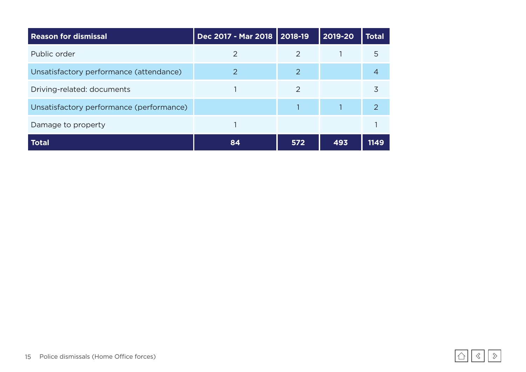| <b>Reason for dismissal</b>              | Dec 2017 - Mar 2018   2018-19 |                | 2019-20 | <b>Total</b> |
|------------------------------------------|-------------------------------|----------------|---------|--------------|
| Public order                             | 2                             | 2              |         | 5            |
| Unsatisfactory performance (attendance)  | $\mathcal{P}$                 | $\overline{2}$ |         | 4            |
| Driving-related: documents               |                               | $\mathcal{P}$  |         | 3            |
| Unsatisfactory performance (performance) |                               |                |         | 2            |
| Damage to property                       |                               |                |         |              |
| <b>Total</b>                             | 84                            | 572            | 493     | 1149         |

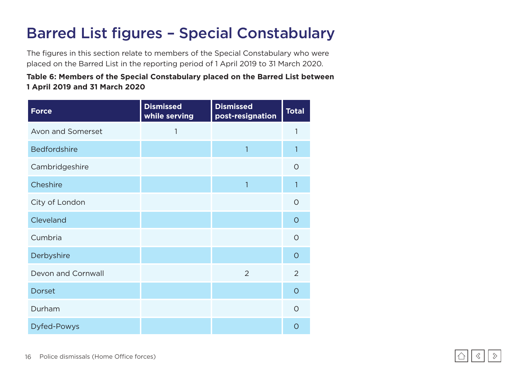## <span id="page-15-0"></span>Barred List figures – Special Constabulary

The figures in this section relate to members of the Special Constabulary who were placed on the Barred List in the reporting period of 1 April 2019 to 31 March 2020.

#### **Table 6: Members of the Special Constabulary placed on the Barred List between 1 April 2019 and 31 March 2020**

| <b>Force</b>        | <b>Dismissed</b><br>while serving | <b>Dismissed</b><br>post-resignation | <b>Total</b>   |
|---------------------|-----------------------------------|--------------------------------------|----------------|
| Avon and Somerset   | 1                                 |                                      | 1              |
| <b>Bedfordshire</b> |                                   | 1                                    | 1              |
| Cambridgeshire      |                                   |                                      | $\circ$        |
| Cheshire            |                                   | 1                                    | 1              |
| City of London      |                                   |                                      | $\circ$        |
| Cleveland           |                                   |                                      | $\circ$        |
| Cumbria             |                                   |                                      | $\circ$        |
| Derbyshire          |                                   |                                      | $\overline{O}$ |
| Devon and Cornwall  |                                   | $\overline{2}$                       | $\overline{2}$ |
| <b>Dorset</b>       |                                   |                                      | $\circ$        |
| Durham              |                                   |                                      | $\Omega$       |
| <b>Dyfed-Powys</b>  |                                   |                                      | ∩              |

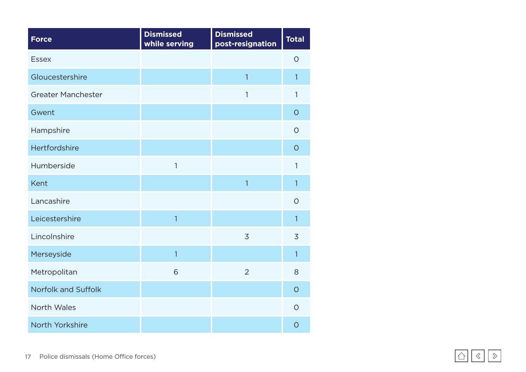| <b>Force</b>               | <b>Dismissed</b><br>while serving | <b>Dismissed</b><br>post-resignation | <b>Total</b>   |
|----------------------------|-----------------------------------|--------------------------------------|----------------|
| <b>Essex</b>               |                                   |                                      | $\circ$        |
| Gloucestershire            |                                   | $\overline{1}$                       | 1              |
| <b>Greater Manchester</b>  |                                   | 1                                    | $\mathbf{1}$   |
| Gwent                      |                                   |                                      | $\overline{O}$ |
| Hampshire                  |                                   |                                      | $\circ$        |
| Hertfordshire              |                                   |                                      | $\overline{O}$ |
| Humberside                 | 1                                 |                                      | 1              |
| Kent                       |                                   | $\overline{1}$                       | $\overline{1}$ |
| Lancashire                 |                                   |                                      | $\circ$        |
| Leicestershire             | $\overline{1}$                    |                                      | $\overline{1}$ |
| Lincolnshire               |                                   | $\overline{3}$                       | 3              |
| Merseyside                 | $\overline{1}$                    |                                      | $\mathbf{1}$   |
| Metropolitan               | 6                                 | $\overline{2}$                       | 8              |
| <b>Norfolk and Suffolk</b> |                                   |                                      | $\circ$        |
| North Wales                |                                   |                                      | $\circ$        |
| North Yorkshire            |                                   |                                      | $\overline{O}$ |

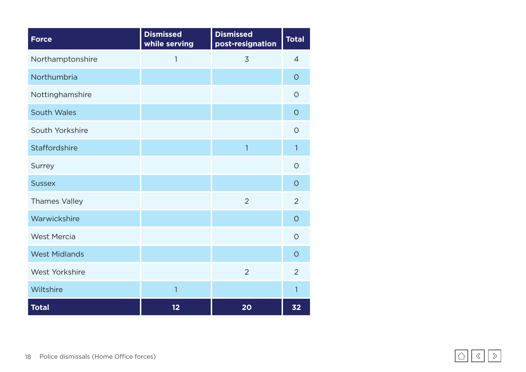| <b>Force</b>          | <b>Dismissed</b><br>while serving | <b>Dismissed</b><br>post-resignation | <b>Total</b>   |
|-----------------------|-----------------------------------|--------------------------------------|----------------|
| Northamptonshire      | 1                                 | 3                                    | $\overline{4}$ |
| Northumbria           |                                   |                                      | $\overline{O}$ |
| Nottinghamshire       |                                   |                                      | $\circ$        |
| <b>South Wales</b>    |                                   |                                      | $\circ$        |
| South Yorkshire       |                                   |                                      | $\circ$        |
| Staffordshire         |                                   | $\overline{1}$                       | 1              |
| <b>Surrey</b>         |                                   |                                      | $\circ$        |
| <b>Sussex</b>         |                                   |                                      | $\circ$        |
| <b>Thames Valley</b>  |                                   | $\overline{2}$                       | $\overline{2}$ |
| Warwickshire          |                                   |                                      | $\circ$        |
| <b>West Mercia</b>    |                                   |                                      | $\circ$        |
| <b>West Midlands</b>  |                                   |                                      | $\circ$        |
| <b>West Yorkshire</b> |                                   | $\overline{2}$                       | $\overline{2}$ |
| Wiltshire             | 1                                 |                                      | 1              |
| <b>Total</b>          | 12                                | 20                                   | 32             |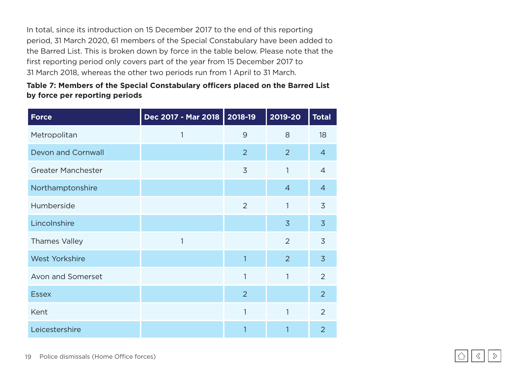In total, since its introduction on 15 December 2017 to the end of this reporting period, 31 March 2020, 61 members of the Special Constabulary have been added to the Barred List. This is broken down by force in the table below. Please note that the first reporting period only covers part of the year from 15 December 2017 to 31 March 2018, whereas the other two periods run from 1 April to 31 March.

#### **Table 7: Members of the Special Constabulary officers placed on the Barred List by force per reporting periods**

| <b>Force</b>              | Dec 2017 - Mar 2018 | 2018-19        | 2019-20        | <b>Total</b>   |
|---------------------------|---------------------|----------------|----------------|----------------|
| Metropolitan              | 1                   | 9              | 8              | 18             |
| <b>Devon and Cornwall</b> |                     | $\overline{2}$ | $\overline{2}$ | $\overline{4}$ |
| <b>Greater Manchester</b> |                     | 3              | $\mathbf{1}$   | $\overline{4}$ |
| Northamptonshire          |                     |                | $\overline{4}$ | $\overline{4}$ |
| Humberside                |                     | $\overline{2}$ | $\mathbf{1}$   | 3              |
| Lincolnshire              |                     |                | $\overline{3}$ | $\overline{3}$ |
| <b>Thames Valley</b>      | 1                   |                | 2              | 3              |
| <b>West Yorkshire</b>     |                     | 1              | 2              | $\overline{3}$ |
| Avon and Somerset         |                     | 1              | $\mathbf{1}$   | $\overline{2}$ |
| <b>Essex</b>              |                     | $\overline{2}$ |                | $\overline{2}$ |
| Kent                      |                     | 1              | $\mathbf{1}$   | $\overline{2}$ |
| Leicestershire            |                     | 1              | 1              | $\overline{2}$ |

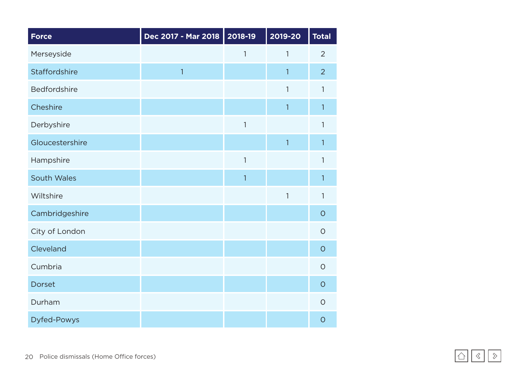| <b>Force</b>       | Dec 2017 - Mar 2018 | 2018-19        | 2019-20      | <b>Total</b>   |
|--------------------|---------------------|----------------|--------------|----------------|
| Merseyside         |                     | 1              | 1            | $\overline{2}$ |
| Staffordshire      | $\overline{1}$      |                | 1            | $\overline{2}$ |
| Bedfordshire       |                     |                | 1            | 1              |
| Cheshire           |                     |                | $\mathbf{1}$ | 1              |
| Derbyshire         |                     | $\mathbf{1}$   |              | 1              |
| Gloucestershire    |                     |                | $\mathbf{1}$ | $\mathbf{1}$   |
| Hampshire          |                     | 1              |              | 1              |
| <b>South Wales</b> |                     | $\overline{1}$ |              | 1              |
| Wiltshire          |                     |                | $\mathbf{1}$ | $\mathbf{1}$   |
| Cambridgeshire     |                     |                |              | $\circ$        |
| City of London     |                     |                |              | $\overline{O}$ |
| Cleveland          |                     |                |              | $\overline{O}$ |
| Cumbria            |                     |                |              | $\circ$        |
| <b>Dorset</b>      |                     |                |              | $\overline{O}$ |
| Durham             |                     |                |              | $\circ$        |
| <b>Dyfed-Powys</b> |                     |                |              | $\overline{O}$ |

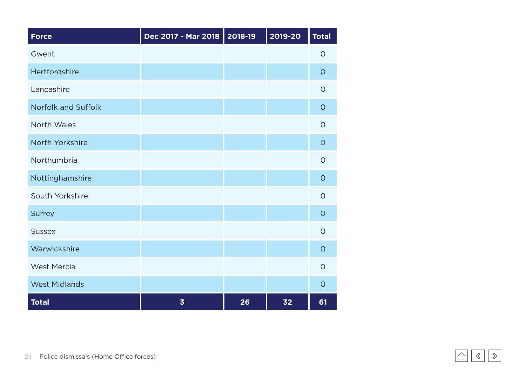| <b>Force</b>         | Dec 2017 - Mar 2018     | 2018-19 | 2019-20 | <b>Total</b> |
|----------------------|-------------------------|---------|---------|--------------|
| Gwent                |                         |         |         | $\circ$      |
| Hertfordshire        |                         |         |         | $\circ$      |
| Lancashire           |                         |         |         | $\circ$      |
| Norfolk and Suffolk  |                         |         |         | $\circ$      |
| North Wales          |                         |         |         | $\circ$      |
| North Yorkshire      |                         |         |         | $\circ$      |
| Northumbria          |                         |         |         | $\Omega$     |
| Nottinghamshire      |                         |         |         | $\circ$      |
| South Yorkshire      |                         |         |         | $\circ$      |
| <b>Surrey</b>        |                         |         |         | $\circ$      |
| <b>Sussex</b>        |                         |         |         | $\circ$      |
| Warwickshire         |                         |         |         | $\circ$      |
| <b>West Mercia</b>   |                         |         |         | $\circ$      |
| <b>West Midlands</b> |                         |         |         | $\circ$      |
| <b>Total</b>         | $\overline{\mathbf{3}}$ | 26      | 32      | 61           |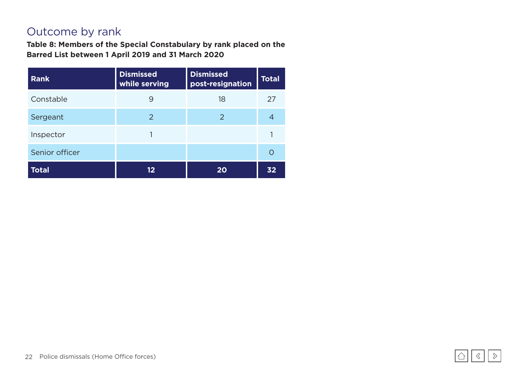### <span id="page-21-0"></span>Outcome by rank

**Table 8: Members of the Special Constabulary by rank placed on the Barred List between 1 April 2019 and 31 March 2020**

| <b>Rank</b>    | <b>Dismissed</b><br>while serving | <b>Dismissed</b><br>post-resignation | <b>Total</b> |
|----------------|-----------------------------------|--------------------------------------|--------------|
| Constable      | 9                                 | 18                                   | 27           |
| Sergeant       | 2                                 | 2                                    | 4            |
| Inspector      |                                   |                                      |              |
| Senior officer |                                   |                                      |              |
| <b>Total</b>   | 12                                | 20                                   | 32           |

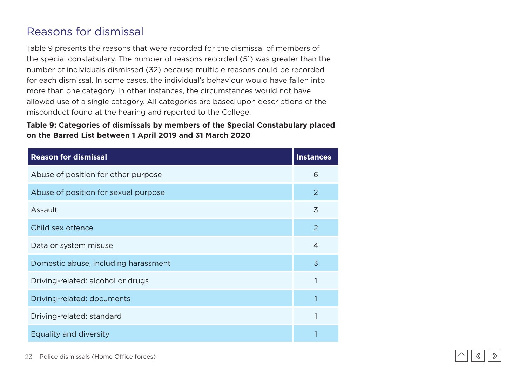### <span id="page-22-0"></span>Reasons for dismissal

Table 9 presents the reasons that were recorded for the dismissal of members of the special constabulary. The number of reasons recorded (51) was greater than the number of individuals dismissed (32) because multiple reasons could be recorded for each dismissal. In some cases, the individual's behaviour would have fallen into more than one category. In other instances, the circumstances would not have allowed use of a single category. All categories are based upon descriptions of the misconduct found at the hearing and reported to the College.

#### **Table 9: Categories of dismissals by members of the Special Constabulary placed on the Barred List between 1 April 2019 and 31 March 2020**

| <b>Reason for dismissal</b>          | <b>Instances</b> |
|--------------------------------------|------------------|
| Abuse of position for other purpose  | 6                |
| Abuse of position for sexual purpose | 2                |
| Assault                              | 3                |
| Child sex offence                    | 2                |
| Data or system misuse                | $\overline{4}$   |
| Domestic abuse, including harassment | $\overline{3}$   |
| Driving-related: alcohol or drugs    |                  |
| Driving-related: documents           |                  |
| Driving-related: standard            |                  |
| Equality and diversity               |                  |

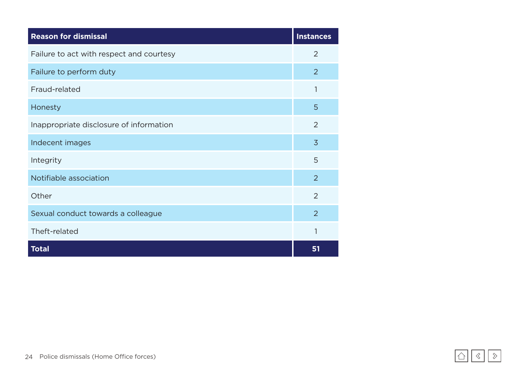| <b>Reason for dismissal</b>              | <b>Instances</b> |
|------------------------------------------|------------------|
| Failure to act with respect and courtesy | $\overline{2}$   |
| Failure to perform duty                  | 2                |
| Fraud-related                            | 1                |
| Honesty                                  | 5                |
| Inappropriate disclosure of information  | 2                |
| Indecent images                          | $\overline{3}$   |
| Integrity                                | 5                |
| Notifiable association                   | 2                |
| Other                                    | $\overline{2}$   |
| Sexual conduct towards a colleague       | $\overline{2}$   |
| Theft-related                            | 1                |
| <b>Total</b>                             | 51               |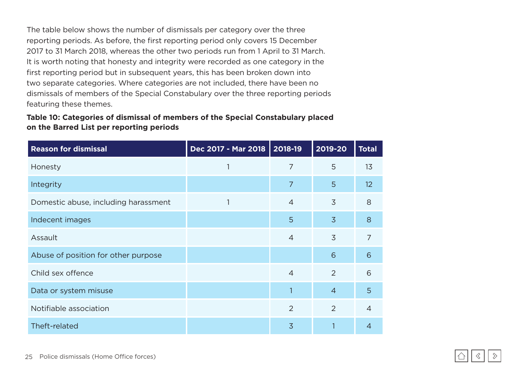The table below shows the number of dismissals per category over the three reporting periods. As before, the first reporting period only covers 15 December 2017 to 31 March 2018, whereas the other two periods run from 1 April to 31 March. It is worth noting that honesty and integrity were recorded as one category in the first reporting period but in subsequent years, this has been broken down into two separate categories. Where categories are not included, there have been no dismissals of members of the Special Constabulary over the three reporting periods featuring these themes.

#### **Table 10: Categories of dismissal of members of the Special Constabulary placed on the Barred List per reporting periods**

| <b>Reason for dismissal</b>          | Dec 2017 - Mar 2018   2018-19 |                | 2019-20        | <b>Total</b>    |
|--------------------------------------|-------------------------------|----------------|----------------|-----------------|
| Honesty                              |                               | 7              | 5              | 13              |
| Integrity                            |                               | $\overline{7}$ | 5              | 12 <sup>2</sup> |
| Domestic abuse, including harassment |                               | $\overline{4}$ | $\overline{3}$ | 8               |
| Indecent images                      |                               | 5              | $\overline{3}$ | 8               |
| Assault                              |                               | $\overline{4}$ | 3              | $\overline{7}$  |
| Abuse of position for other purpose  |                               |                | 6              | 6               |
| Child sex offence                    |                               | $\overline{4}$ | 2              | 6               |
| Data or system misuse                |                               |                | $\overline{4}$ | 5               |
| Notifiable association               |                               | $\overline{2}$ | 2              | $\overline{4}$  |
| Theft-related                        |                               | 3              |                | 4               |



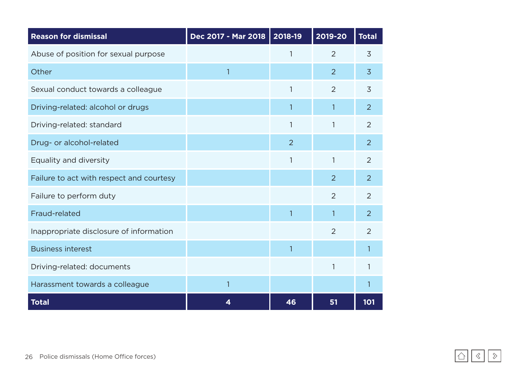| <b>Reason for dismissal</b>              | Dec 2017 - Mar 2018 | 2018-19        | 2019-20        | <b>Total</b>   |
|------------------------------------------|---------------------|----------------|----------------|----------------|
| Abuse of position for sexual purpose     |                     |                | $\overline{2}$ | 3              |
| Other                                    | $\mathbf{1}$        |                | $\overline{2}$ | 3              |
| Sexual conduct towards a colleague       |                     | 1              | $\overline{2}$ | $\overline{3}$ |
| Driving-related: alcohol or drugs        |                     |                |                | $\overline{2}$ |
| Driving-related: standard                |                     | 1              | 1              | $\overline{2}$ |
| Drug- or alcohol-related                 |                     | $\overline{2}$ |                | $\overline{2}$ |
| Equality and diversity                   |                     | 1              |                | 2              |
| Failure to act with respect and courtesy |                     |                | $\overline{2}$ | 2              |
| Failure to perform duty                  |                     |                | $\overline{2}$ | 2              |
| Fraud-related                            |                     | 1              |                | $\overline{2}$ |
| Inappropriate disclosure of information  |                     |                | $\overline{2}$ | $\overline{2}$ |
| <b>Business interest</b>                 |                     | 1              |                |                |
| Driving-related: documents               |                     |                | 1              |                |
| Harassment towards a colleague           | 1                   |                |                |                |
| <b>Total</b>                             | 4                   | 46             | 51             | 101            |

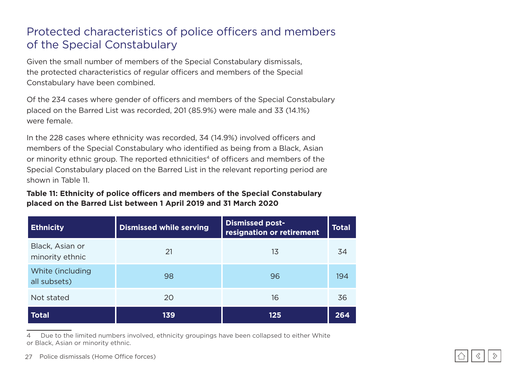### <span id="page-26-0"></span>Protected characteristics of police officers and members of the Special Constabulary

Given the small number of members of the Special Constabulary dismissals, the protected characteristics of regular officers and members of the Special Constabulary have been combined.

Of the 234 cases where gender of officers and members of the Special Constabulary placed on the Barred List was recorded, 201 (85.9%) were male and 33 (14.1%) were female.

In the 228 cases where ethnicity was recorded, 34 (14.9%) involved officers and members of the Special Constabulary who identified as being from a Black, Asian or minority ethnic group. The reported ethnicities<sup>4</sup> of officers and members of the Special Constabulary placed on the Barred List in the relevant reporting period are shown in Table 11.

#### **Table 11: Ethnicity of police officers and members of the Special Constabulary placed on the Barred List between 1 April 2019 and 31 March 2020**

| <b>Ethnicity</b>                   | <b>Dismissed while serving</b> | <b>Dismissed post-</b><br>resignation or retirement | <b>Total</b> |
|------------------------------------|--------------------------------|-----------------------------------------------------|--------------|
| Black, Asian or<br>minority ethnic | 21                             | 13                                                  | 34           |
| White (including<br>all subsets)   | 98                             | 96                                                  | 194          |
| Not stated                         | 20                             | 16                                                  | 36           |
| <b>Total</b>                       | 139                            | 125                                                 | 264          |

4 Due to the limited numbers involved, ethnicity groupings have been collapsed to either White or Black, Asian or minority ethnic.

27 Police dismissals (Home Office forces)

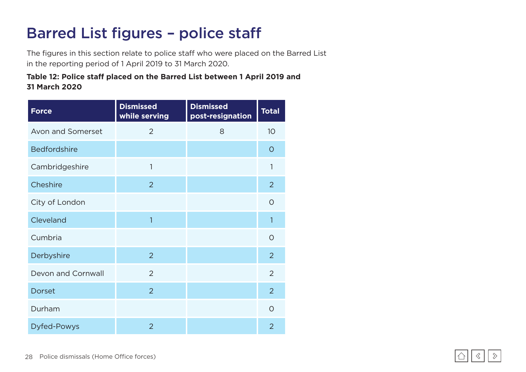## Barred List figures – police staff

The figures in this section relate to police staff who were placed on the Barred List in the reporting period of 1 April 2019 to 31 March 2020.

#### **Table 12: Police staff placed on the Barred List between 1 April 2019 and 31 March 2020**

| <b>Force</b>        | <b>Dismissed</b><br>while serving | <b>Dismissed</b><br>post-resignation | <b>Total</b>   |
|---------------------|-----------------------------------|--------------------------------------|----------------|
| Avon and Somerset   | $\overline{2}$                    | 8                                    | 10             |
| <b>Bedfordshire</b> |                                   |                                      | $\circ$        |
| Cambridgeshire      | 1                                 |                                      | 1              |
| Cheshire            | $\overline{2}$                    |                                      | $\overline{2}$ |
| City of London      |                                   |                                      | O              |
| Cleveland           | 1                                 |                                      | 1              |
| Cumbria             |                                   |                                      | $\overline{O}$ |
| Derbyshire          | $\overline{2}$                    |                                      | $\overline{2}$ |
| Devon and Cornwall  | 2                                 |                                      | $\overline{2}$ |
| <b>Dorset</b>       | $\overline{2}$                    |                                      | $\overline{2}$ |
| Durham              |                                   |                                      | $\overline{O}$ |
| <b>Dyfed-Powys</b>  | $\overline{2}$                    |                                      | $\overline{2}$ |

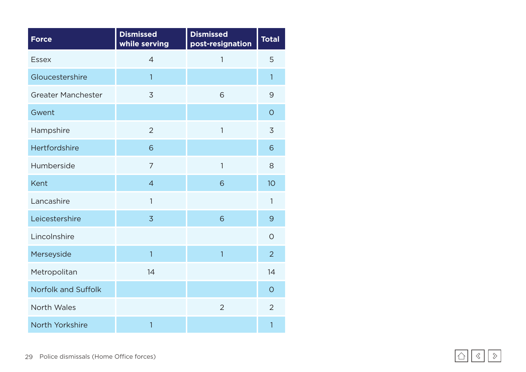| <b>Force</b>               | <b>Dismissed</b><br>while serving | <b>Dismissed</b><br>post-resignation | <b>Total</b>   |
|----------------------------|-----------------------------------|--------------------------------------|----------------|
| <b>Essex</b>               | $\overline{4}$                    | $\mathbf{1}$                         | 5              |
| Gloucestershire            | $\overline{1}$                    |                                      | $\overline{1}$ |
| <b>Greater Manchester</b>  | 3                                 | 6                                    | 9              |
| Gwent                      |                                   |                                      | $\overline{O}$ |
| Hampshire                  | $\overline{2}$                    | $\mathbf{1}$                         | 3              |
| Hertfordshire              | 6                                 |                                      | 6              |
| Humberside                 | $\overline{7}$                    | $\mathbf{1}$                         | 8              |
| Kent                       | $\overline{4}$                    | 6                                    | 10             |
| Lancashire                 | $\overline{1}$                    |                                      | 1              |
| Leicestershire             | $\overline{3}$                    | 6                                    | 9              |
| Lincolnshire               |                                   |                                      | $\overline{O}$ |
| Merseyside                 | $\overline{1}$                    | $\overline{1}$                       | $\overline{2}$ |
| Metropolitan               | 14                                |                                      | 14             |
| <b>Norfolk and Suffolk</b> |                                   |                                      | $\overline{O}$ |
| North Wales                |                                   | $\overline{2}$                       | $\overline{2}$ |
| North Yorkshire            | 1                                 |                                      | 1              |

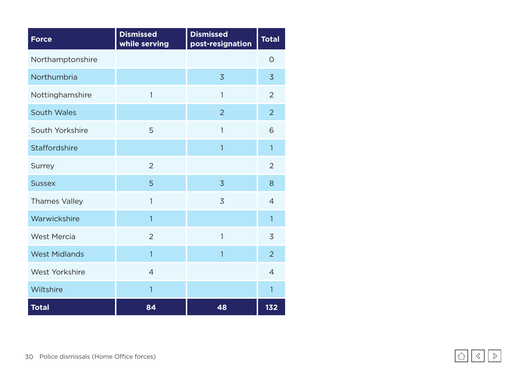| <b>Force</b>          | <b>Dismissed</b><br>while serving | <b>Dismissed</b><br>post-resignation | <b>Total</b>   |
|-----------------------|-----------------------------------|--------------------------------------|----------------|
| Northamptonshire      |                                   |                                      | $\overline{O}$ |
| Northumbria           |                                   | 3                                    | $\overline{3}$ |
| Nottinghamshire       | 1                                 | $\mathbf{1}$                         | $\overline{2}$ |
| <b>South Wales</b>    |                                   | $\overline{2}$                       | $\overline{2}$ |
| South Yorkshire       | 5                                 | $\mathbf{1}$                         | 6              |
| Staffordshire         |                                   | 1                                    | 1              |
| Surrey                | $\overline{2}$                    |                                      | $\overline{2}$ |
| <b>Sussex</b>         | 5                                 | $\overline{3}$                       | 8              |
| <b>Thames Valley</b>  | 1                                 | 3                                    | $\overline{4}$ |
| Warwickshire          | 1                                 |                                      | $\overline{1}$ |
| <b>West Mercia</b>    | $\overline{2}$                    | $\mathbf{1}$                         | 3              |
| <b>West Midlands</b>  | $\overline{1}$                    | $\overline{1}$                       | $\overline{2}$ |
| <b>West Yorkshire</b> | $\overline{4}$                    |                                      | $\overline{4}$ |
| Wiltshire             | 1                                 |                                      | $\overline{1}$ |
| <b>Total</b>          | 84                                | 48                                   | 132            |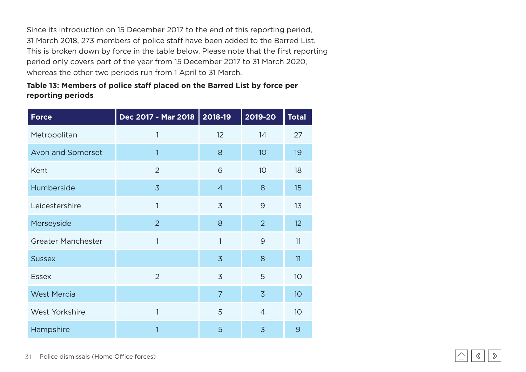Since its introduction on 15 December 2017 to the end of this reporting period, 31 March 2018, 273 members of police staff have been added to the Barred List. This is broken down by force in the table below. Please note that the first reporting period only covers part of the year from 15 December 2017 to 31 March 2020, whereas the other two periods run from 1 April to 31 March.

#### **Table 13: Members of police staff placed on the Barred List by force per reporting periods**

| <b>Force</b>              | Dec 2017 - Mar 2018 | 2018-19        | 2019-20        | <b>Total</b> |
|---------------------------|---------------------|----------------|----------------|--------------|
| Metropolitan              | 1                   | 12             | 14             | 27           |
| Avon and Somerset         | 1                   | 8              | 10             | 19           |
| Kent                      | $\overline{2}$      | 6              | 10             | 18           |
| Humberside                | $\overline{3}$      | $\overline{4}$ | 8              | 15           |
| Leicestershire            | 1                   | 3              | 9              | 13           |
| Merseyside                | $\overline{2}$      | 8              | $\overline{2}$ | 12           |
| <b>Greater Manchester</b> | 1                   | 1              | 9              | 11           |
| <b>Sussex</b>             |                     | $\overline{3}$ | 8              | 11           |
| <b>Essex</b>              | 2                   | 3              | 5              | 10           |
| <b>West Mercia</b>        |                     | $\overline{7}$ | $\overline{3}$ | 10           |
| <b>West Yorkshire</b>     | 1                   | 5              | $\overline{4}$ | 10           |
| Hampshire                 | 1                   | 5              | $\overline{3}$ | 9            |

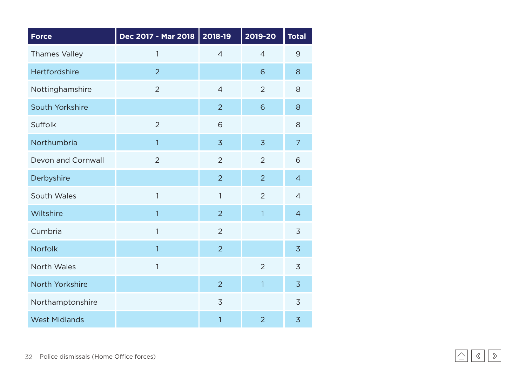| <b>Force</b>         | Dec 2017 - Mar 2018 | 2018-19        | 2019-20        | <b>Total</b>   |
|----------------------|---------------------|----------------|----------------|----------------|
| <b>Thames Valley</b> | $\mathbf{1}$        | $\overline{4}$ | $\overline{4}$ | 9              |
| Hertfordshire        | $\overline{2}$      |                | 6              | 8              |
| Nottinghamshire      | $\overline{2}$      | $\overline{4}$ | $\overline{2}$ | 8              |
| South Yorkshire      |                     | $\overline{2}$ | 6              | 8              |
| <b>Suffolk</b>       | $\overline{2}$      | 6              |                | 8              |
| Northumbria          | $\mathbf{1}$        | $\overline{3}$ | $\overline{3}$ | $\overline{7}$ |
| Devon and Cornwall   | $\overline{2}$      | $\overline{2}$ | $\overline{2}$ | 6              |
| Derbyshire           |                     | $\overline{2}$ | $\overline{2}$ | $\overline{4}$ |
| South Wales          | $\mathbf{1}$        | 1              | $\overline{2}$ | $\overline{4}$ |
| Wiltshire            | $\mathbf{1}$        | $\overline{2}$ | $\overline{1}$ | $\overline{4}$ |
| Cumbria              | $\mathbf{1}$        | $\overline{2}$ |                | 3              |
| <b>Norfolk</b>       | $\mathbf{1}$        | $\overline{2}$ |                | $\overline{3}$ |
| North Wales          | $\mathbf{1}$        |                | $\overline{2}$ | 3              |
| North Yorkshire      |                     | $\overline{2}$ | $\overline{1}$ | $\overline{3}$ |
| Northamptonshire     |                     | 3              |                | 3              |
| <b>West Midlands</b> |                     | 1              | $\overline{2}$ | 3              |

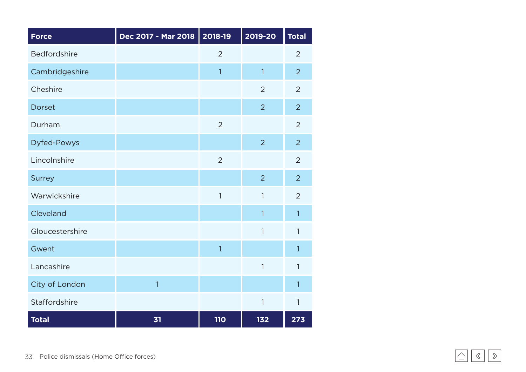| <b>Force</b>        | Dec 2017 - Mar 2018 | 2018-19        | 2019-20        | <b>Total</b>   |
|---------------------|---------------------|----------------|----------------|----------------|
| <b>Bedfordshire</b> |                     | $\overline{2}$ |                | $\overline{2}$ |
| Cambridgeshire      |                     | $\mathbf{1}$   | $\overline{1}$ | $\overline{2}$ |
| Cheshire            |                     |                | $\overline{2}$ | $\overline{2}$ |
| <b>Dorset</b>       |                     |                | $\overline{2}$ | $\overline{2}$ |
| Durham              |                     | $\overline{2}$ |                | $\overline{2}$ |
| <b>Dyfed-Powys</b>  |                     |                | $\overline{2}$ | $\overline{2}$ |
| Lincolnshire        |                     | $\overline{2}$ |                | $\overline{2}$ |
| <b>Surrey</b>       |                     |                | $\overline{2}$ | $\overline{2}$ |
| Warwickshire        |                     | $\mathbf{1}$   | $\mathbf{1}$   | $\overline{2}$ |
| Cleveland           |                     |                | $\mathbf{1}$   | $\mathbf{1}$   |
| Gloucestershire     |                     |                | $\mathbf{1}$   | $\mathbf{1}$   |
| Gwent               |                     | $\overline{1}$ |                | $\overline{1}$ |
| Lancashire          |                     |                | $\mathbf{1}$   | 1              |
| City of London      | $\mathbf{1}$        |                |                | $\mathbf{1}$   |
| Staffordshire       |                     |                | $\mathbf{1}$   | $\mathbf{1}$   |
| <b>Total</b>        | 31                  | <b>110</b>     | 132            | 273            |

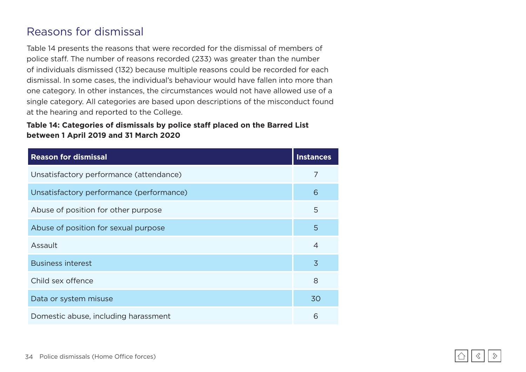### <span id="page-33-0"></span>Reasons for dismissal

Table 14 presents the reasons that were recorded for the dismissal of members of police staff. The number of reasons recorded (233) was greater than the number of individuals dismissed (132) because multiple reasons could be recorded for each dismissal. In some cases, the individual's behaviour would have fallen into more than one category. In other instances, the circumstances would not have allowed use of a single category. All categories are based upon descriptions of the misconduct found at the hearing and reported to the College.

#### **Table 14: Categories of dismissals by police staff placed on the Barred List between 1 April 2019 and 31 March 2020**

| <b>Reason for dismissal</b>              | <b>Instances</b> |
|------------------------------------------|------------------|
| Unsatisfactory performance (attendance)  | 7                |
| Unsatisfactory performance (performance) | 6                |
| Abuse of position for other purpose      | 5                |
| Abuse of position for sexual purpose     | 5                |
| Assault                                  | 4                |
| <b>Business interest</b>                 | $\overline{3}$   |
| Child sex offence                        | 8                |
| Data or system misuse                    | 30               |
| Domestic abuse, including harassment     | 6                |

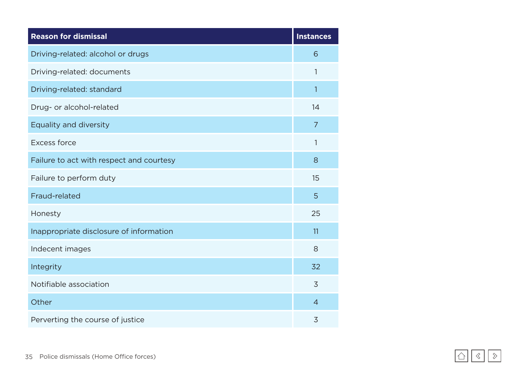| <b>Reason for dismissal</b>              | <b>Instances</b> |
|------------------------------------------|------------------|
| Driving-related: alcohol or drugs        | 6                |
| Driving-related: documents               | 1                |
| Driving-related: standard                | 1                |
| Drug- or alcohol-related                 | 14               |
| Equality and diversity                   | $\overline{7}$   |
| <b>Excess force</b>                      | 1                |
| Failure to act with respect and courtesy | 8                |
| Failure to perform duty                  | 15               |
| Fraud-related                            | 5                |
| Honesty                                  | 25               |
| Inappropriate disclosure of information  | 11               |
| Indecent images                          | 8                |
| Integrity                                | 32               |
| Notifiable association                   | 3                |
| Other                                    | $\overline{4}$   |
| Perverting the course of justice         | 3                |

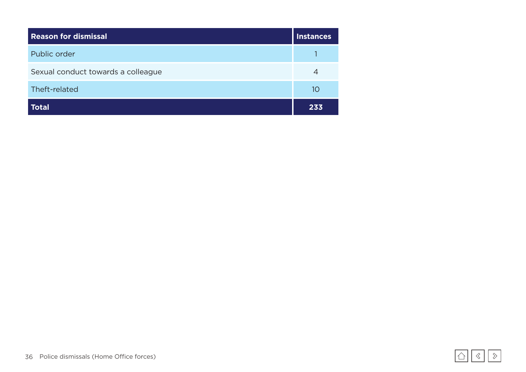| <b>Reason for dismissal</b>        | <b>Instances</b> |
|------------------------------------|------------------|
| Public order                       |                  |
| Sexual conduct towards a colleague | 4                |
| Theft-related                      | 10               |
| <b>Total</b>                       | 233              |

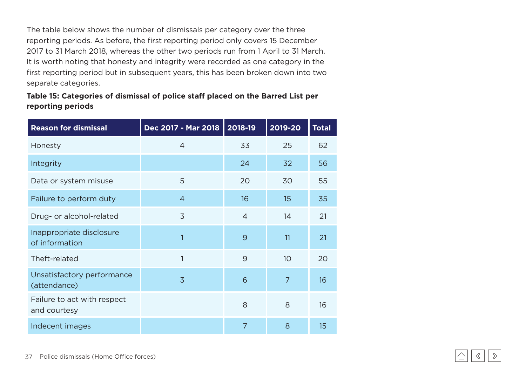The table below shows the number of dismissals per category over the three reporting periods. As before, the first reporting period only covers 15 December 2017 to 31 March 2018, whereas the other two periods run from 1 April to 31 March. It is worth noting that honesty and integrity were recorded as one category in the first reporting period but in subsequent years, this has been broken down into two separate categories.

#### **Table 15: Categories of dismissal of police staff placed on the Barred List per reporting periods**

| <b>Reason for dismissal</b>                 | Dec 2017 - Mar 2018 | 2018-19        | 2019-20        | <b>Total</b> |
|---------------------------------------------|---------------------|----------------|----------------|--------------|
| Honesty                                     | $\overline{4}$      | 33             | 25             | 62           |
| Integrity                                   |                     | 24             | 32             | 56           |
| Data or system misuse                       | 5                   | 20             | 30             | 55           |
| Failure to perform duty                     | $\overline{4}$      | 16             | 15             | 35           |
| Drug- or alcohol-related                    | $\overline{3}$      | $\overline{4}$ | 14             | 21           |
| Inappropriate disclosure<br>of information  | 1                   | 9              | 11             | 21           |
| Theft-related                               | 1                   | 9              | 10             | 20           |
| Unsatisfactory performance<br>(attendance)  | $\overline{3}$      | 6              | $\overline{7}$ | 16           |
| Failure to act with respect<br>and courtesy |                     | 8              | 8              | 16           |
| Indecent images                             |                     | $\overline{7}$ | 8              | 15           |

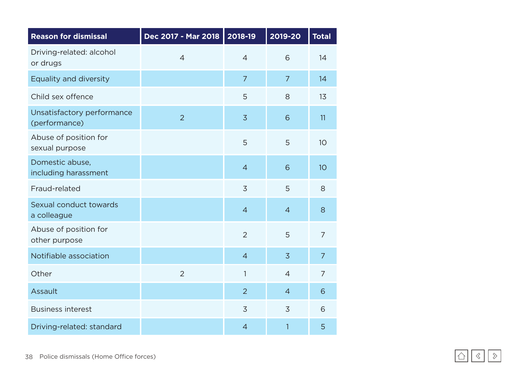| <b>Reason for dismissal</b>                 | Dec 2017 - Mar 2018 | 2018-19        | 2019-20        | <b>Total</b>    |
|---------------------------------------------|---------------------|----------------|----------------|-----------------|
| Driving-related: alcohol<br>or drugs        | $\overline{4}$      | $\overline{4}$ | 6              | 14              |
| Equality and diversity                      |                     | $\overline{7}$ | $\overline{7}$ | 14              |
| Child sex offence                           |                     | 5              | 8              | 13              |
| Unsatisfactory performance<br>(performance) | $\overline{2}$      | $\overline{3}$ | 6              | 11              |
| Abuse of position for<br>sexual purpose     |                     | 5              | 5              | 10 <sup>°</sup> |
| Domestic abuse,<br>including harassment     |                     | $\overline{4}$ | 6              | 10              |
| Fraud-related                               |                     | $\overline{3}$ | 5              | 8               |
| Sexual conduct towards<br>a colleague       |                     | $\overline{4}$ | $\overline{4}$ | 8               |
| Abuse of position for<br>other purpose      |                     | $\overline{2}$ | 5              | $\overline{7}$  |
| Notifiable association                      |                     | $\overline{4}$ | $\overline{3}$ | $\overline{7}$  |
| Other                                       | $\overline{2}$      | 1              | $\overline{4}$ | $\overline{7}$  |
| Assault                                     |                     | $\overline{2}$ | $\overline{4}$ | 6               |
| <b>Business interest</b>                    |                     | $\overline{3}$ | $\overline{3}$ | 6               |
| Driving-related: standard                   |                     | $\overline{4}$ | 1              | 5               |

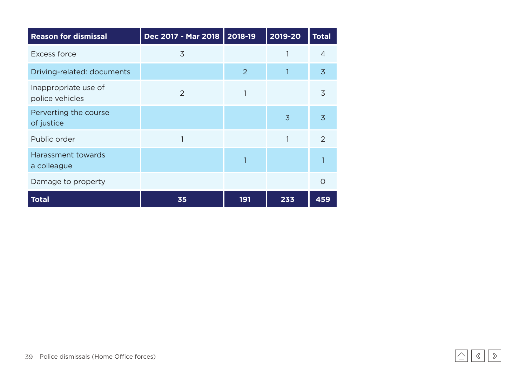| <b>Reason for dismissal</b>             | Dec 2017 - Mar 2018 | $ 2018-19$     | 2019-20        | <b>Total</b>   |
|-----------------------------------------|---------------------|----------------|----------------|----------------|
| <b>Excess force</b>                     | 3                   |                | 1              | $\overline{4}$ |
| Driving-related: documents              |                     | $\overline{2}$ |                | $\overline{3}$ |
| Inappropriate use of<br>police vehicles | $\overline{2}$      | 1              |                | 3              |
| Perverting the course<br>of justice     |                     |                | $\overline{3}$ | $\overline{3}$ |
| Public order                            |                     |                | 1              | 2              |
| Harassment towards<br>a colleague       |                     |                |                |                |
| Damage to property                      |                     |                |                | $\circ$        |
| <b>Total</b>                            | 35                  | 191            | 233            | 459            |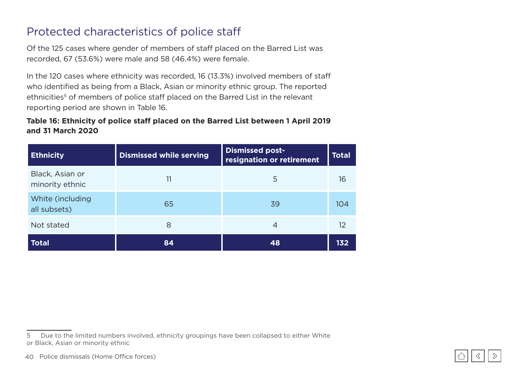### <span id="page-39-0"></span>Protected characteristics of police staff

Of the 125 cases where gender of members of staff placed on the Barred List was recorded, 67 (53.6%) were male and 58 (46.4%) were female.

In the 120 cases where ethnicity was recorded, 16 (13.3%) involved members of staff who identified as being from a Black, Asian or minority ethnic group. The reported ethnicities<sup>5</sup> of members of police staff placed on the Barred List in the relevant reporting period are shown in Table 16.

#### **Table 16: Ethnicity of police staff placed on the Barred List between 1 April 2019 and 31 March 2020**

| <b>Ethnicity</b>                   | <b>Dismissed while serving</b> | <b>Dismissed post-</b><br>resignation or retirement | <b>Total</b> |
|------------------------------------|--------------------------------|-----------------------------------------------------|--------------|
| Black, Asian or<br>minority ethnic |                                | 5                                                   | 16           |
| White (including<br>all subsets)   | 65                             | 39                                                  | 104          |
| Not stated                         | 8                              | 4                                                   | 12           |
| <b>Total</b>                       | 84                             | 48                                                  | 132          |



<sup>5</sup> Due to the limited numbers involved, ethnicity groupings have been collapsed to either White or Black, Asian or minority ethnic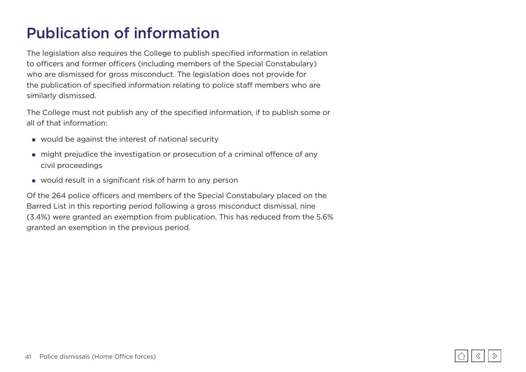## <span id="page-40-0"></span>Publication of information

The legislation also requires the College to publish specified information in relation to officers and former officers (including members of the Special Constabulary) who are dismissed for gross misconduct. The legislation does not provide for the publication of specified information relating to police staff members who are similarly dismissed.

The College must not publish any of the specified information, if to publish some or all of that information:

- would be against the interest of national security
- might prejudice the investigation or prosecution of a criminal offence of any civil proceedings
- would result in a significant risk of harm to any person

Of the 264 police officers and members of the Special Constabulary placed on the Barred List in this reporting period following a gross misconduct dismissal, nine (3.4%) were granted an exemption from publication. This has reduced from the 5.6% granted an exemption in the previous period.